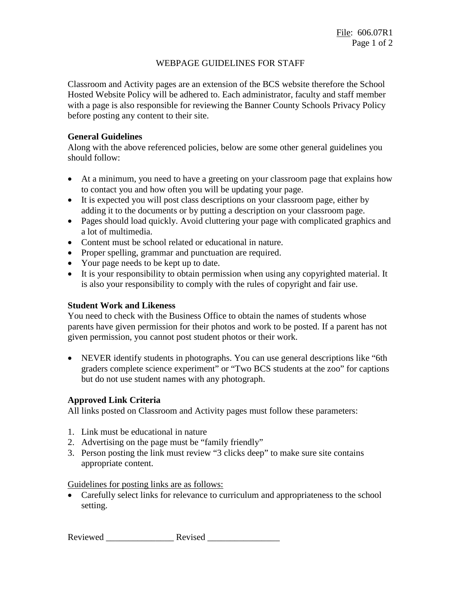## WEBPAGE GUIDELINES FOR STAFF

Classroom and Activity pages are an extension of the BCS website therefore the School Hosted Website Policy will be adhered to. Each administrator, faculty and staff member with a page is also responsible for reviewing the Banner County Schools Privacy Policy before posting any content to their site.

### **General Guidelines**

Along with the above referenced policies, below are some other general guidelines you should follow:

- At a minimum, you need to have a greeting on your classroom page that explains how to contact you and how often you will be updating your page.
- It is expected you will post class descriptions on your classroom page, either by adding it to the documents or by putting a description on your classroom page.
- Pages should load quickly. Avoid cluttering your page with complicated graphics and a lot of multimedia.
- Content must be school related or educational in nature.
- Proper spelling, grammar and punctuation are required.
- Your page needs to be kept up to date.
- It is your responsibility to obtain permission when using any copyrighted material. It is also your responsibility to comply with the rules of copyright and fair use.

#### **Student Work and Likeness**

You need to check with the Business Office to obtain the names of students whose parents have given permission for their photos and work to be posted. If a parent has not given permission, you cannot post student photos or their work.

• NEVER identify students in photographs. You can use general descriptions like "6th" graders complete science experiment" or "Two BCS students at the zoo" for captions but do not use student names with any photograph.

# **Approved Link Criteria**

All links posted on Classroom and Activity pages must follow these parameters:

- 1. Link must be educational in nature
- 2. Advertising on the page must be "family friendly"
- 3. Person posting the link must review "3 clicks deep" to make sure site contains appropriate content.

Guidelines for posting links are as follows:

• Carefully select links for relevance to curriculum and appropriateness to the school setting.

Reviewed \_\_\_\_\_\_\_\_\_\_\_\_\_\_\_ Revised \_\_\_\_\_\_\_\_\_\_\_\_\_\_\_\_